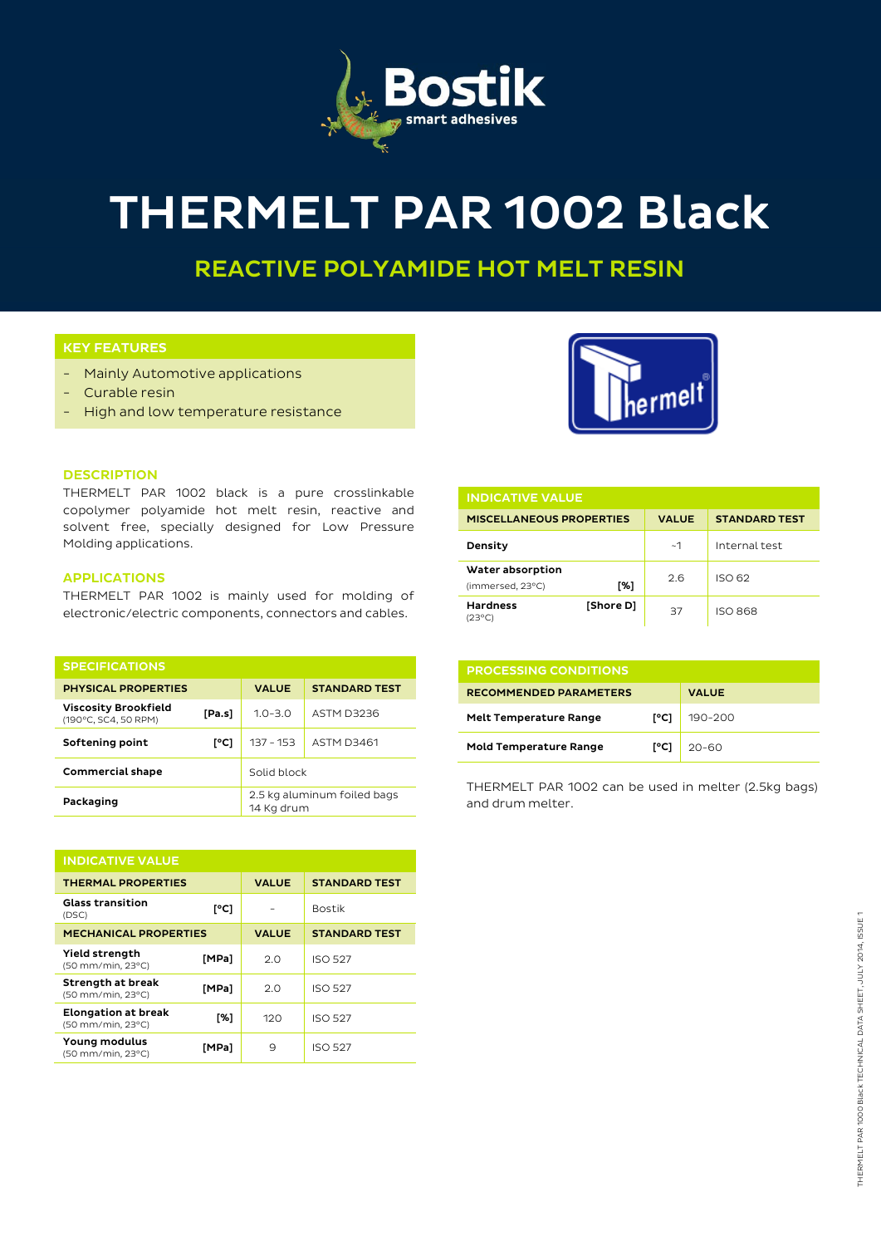

# THERMELT PAR 1002 Black

REACTIVE POLYAMIDE HOT MELT RESIN

# KEY FEATURES

- Mainly Automotive applications
- Curable resin
- High and low temperature resistance



#### **DESCRIPTION**

THERMELT PAR 1002 black is a pure crosslinkable copolymer polyamide hot melt resin, reactive and solvent free, specially designed for Low Pressure Molding applications.

# APPLICATIONS

THERMELT PAR 1002 is mainly used for molding of electronic/electric components, connectors and cables.

| <b>SPECIFICATIONS</b>                               |        |                                           |                      |
|-----------------------------------------------------|--------|-------------------------------------------|----------------------|
| <b>PHYSICAL PROPERTIES</b>                          |        | <b>VALUE</b>                              | <b>STANDARD TEST</b> |
| <b>Viscosity Brookfield</b><br>(190°C, SC4, 50 RPM) | [Pa.s] | $1.0 - 3.0$                               | ASTM D3236           |
| Softening point                                     | [°C]   | $137 - 153$                               | <b>ASTM D3461</b>    |
| <b>Commercial shape</b>                             |        | Solid block                               |                      |
| Packaging                                           |        | 2.5 kg aluminum foiled bags<br>14 Kg drum |                      |

| <b>INDICATIVE VALUE</b>                         |       |              |                      |  |  |
|-------------------------------------------------|-------|--------------|----------------------|--|--|
| <b>THERMAL PROPERTIES</b>                       |       | <b>VALUE</b> | <b>STANDARD TEST</b> |  |  |
| <b>Glass transition</b><br>(DSC)                | [°C]  |              | <b>Bostik</b>        |  |  |
| <b>MECHANICAL PROPERTIES</b>                    |       | <b>VALUE</b> | <b>STANDARD TEST</b> |  |  |
| <b>Yield strength</b><br>(50 mm/min, 23°C)      | [MPa] | 2.0          | <b>ISO 527</b>       |  |  |
| Strength at break<br>(50 mm/min, 23°C)          | [MPa] | 2.0          | <b>ISO 527</b>       |  |  |
| <b>Elongation at break</b><br>(50 mm/min, 23°C) | [%]   | 120          | <b>ISO 527</b>       |  |  |
| Young modulus<br>(50 mm/min, 23°C)              | [MPa] | 9            | <b>ISO 527</b>       |  |  |

| <b>INDICATIVE VALUE</b>              |           |              |                      |  |  |
|--------------------------------------|-----------|--------------|----------------------|--|--|
| <b>MISCELLANEOUS PROPERTIES</b>      |           | <b>VALUE</b> | <b>STANDARD TEST</b> |  |  |
| Density                              |           | ~1           | Internal test        |  |  |
| Water absorption<br>(immersed, 23°C) | [%]       | 2.6          | ISO 62               |  |  |
| <b>Hardness</b><br>(23°C)            | [Shore D] | 37           | <b>ISO 868</b>       |  |  |

| <b>PROCESSING CONDITIONS</b>  |      |              |  |  |
|-------------------------------|------|--------------|--|--|
| <b>RECOMMENDED PARAMETERS</b> |      | <b>VALUE</b> |  |  |
| <b>Melt Temperature Range</b> | I°C1 | $190 - 200$  |  |  |
| <b>Mold Temperature Range</b> | [°C] | $20 - 60$    |  |  |

THERMELT PAR 1002 can be used in melter (2.5kg bags) and drum melter.